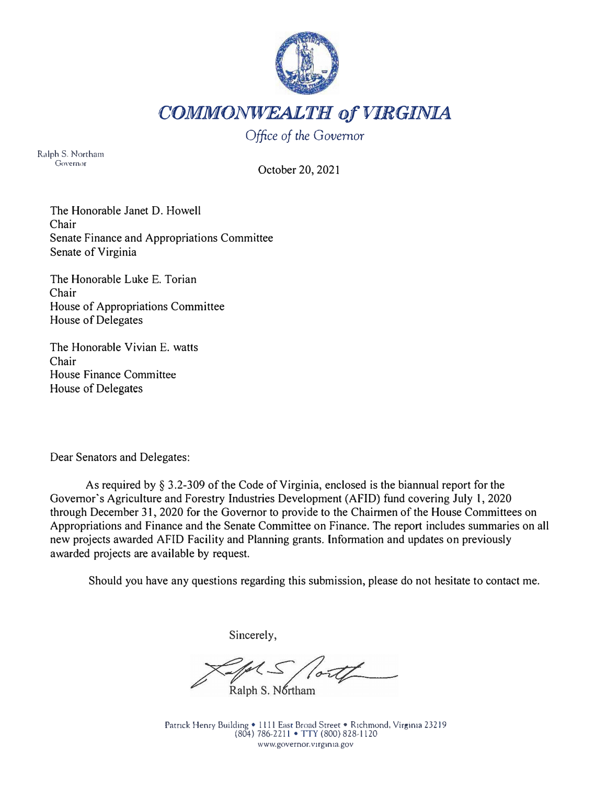

*COMMONWEALTH of VIRGINIA* 

*Office of the Governor* 

Ralph S. Northam Governor

October 20, 2021

The Honorable Janet D. Howell Chair Senate Finance and Appropriations Committee Senate of Virginia

The Honorable Luke E. Torian Chair House of Appropriations Committee House of Delegates

The Honorable Vivian E. watts Chair House Finance Committee House of Delegates

Dear Senators and Delegates:

As required by§ 3.2-309 of the Code of Virginia, enclosed is the biannual report for the Governor's Agriculture and Forestry Industries Development (AFID) fund covering July 1, 2020 through December 31, 2020 for the Governor to provide to the Chairmen of the House Committees on Appropriations and Finance and the Senate Committee on Finance. The report includes summaries on all new projects awarded AFID Facility and Planning grants. Information and updates on previously awarded projects are available by request.

Should you have any questions regarding this submission, please do not hesitate to contact me.

Sincerely,

Ralph S. Northam

Patrick Henry Building • 1111 East Broad Street • Richmond, Virginia 23219 (804) 786,2211 • TIY (800) 828,1120 www.governor.v1rg1n1a.gov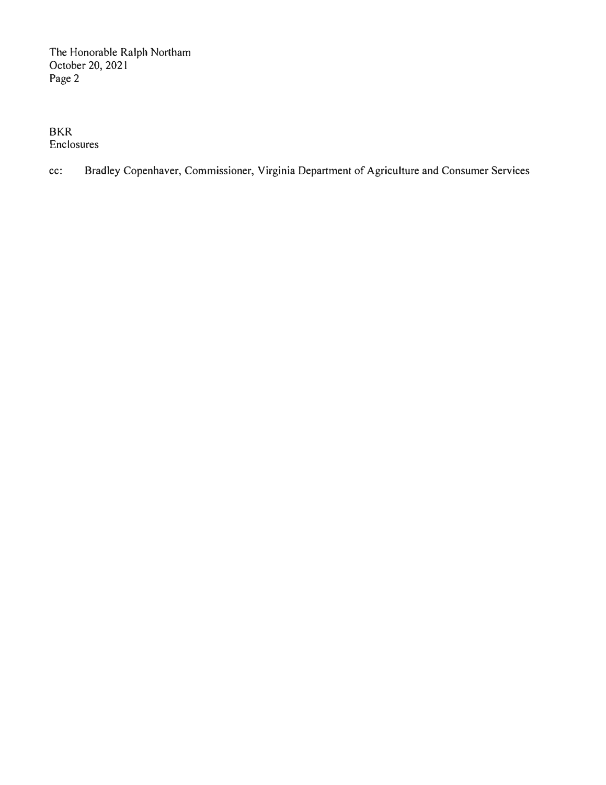BKR Enclosures

cc: Bradley Copenhaver, Commissioner, Virginia Department of Agriculture and Consumer Services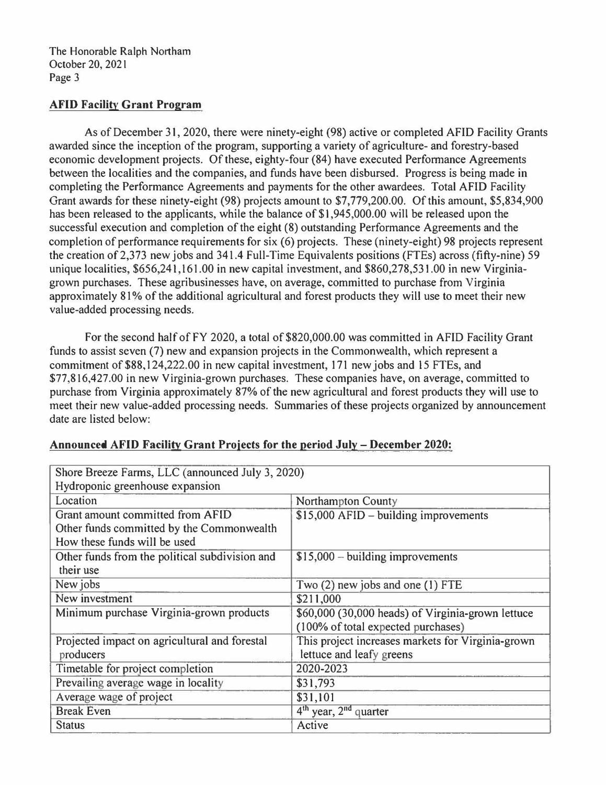#### **AFID Facility Grant Program**

As of December 31, 2020, there were ninety-eight (98) active or completed AFID Facility Grants awarded since the inception of the program, supporting a variety of agriculture- and forestry-based economic development projects. Of these, eighty-four (84) have executed Performance Agreements between the localities and the companies, and funds have been disbursed. Progress is being made in completing the Performance Agreements and payments for the other awardees. Total AFID Facility Grant awards for these ninety-eight (98) projects amount to \$7,779,200.00. Of this amount, \$5,834,900 has been released to the applicants, while the balance of \$1,945,000.00 will be released upon the successful execution and completion of the eight (8) outstanding Performance Agreements and the completion of performance requirements for six (6) projects. These (ninety-eight) 98 projects represent the creation of 2,373 new jobs and 341.4 Full-Time Equivalents positions (FTEs) across (fifty-nine) 59 unique localities, \$656,241,161.00 in new capital investment, and \$860,278,53 I .00 in new Virginiagrown purchases. These agribusinesses have, on average, committed to purchase from Virginia approximately 81% of the additional agricultural and forest products they will use to meet their new value-added processing needs.

For the second half of FY 2020, a total of \$820,000.00 was committed in AFID Facility Grant funds to assist seven (7) new and expansion projects in the Commonwealth, which represent a commitment of \$88,124,222.00 in new capital investment, 171 new jobs and 15 FTEs, and \$77,816,427.00 in new Virginia-grown purchases. These companies have, on average, committed to purchase from Virginia approximately 87% of the new agricultural and forest products they will use to meet their new value-added processing needs. Summaries of these projects organized by announcement date are listed below:

| Shore Breeze Farms, LLC (announced July 3, 2020) |                                                   |
|--------------------------------------------------|---------------------------------------------------|
| Hydroponic greenhouse expansion                  |                                                   |
| Location                                         | <b>Northampton County</b>                         |
| Grant amount committed from AFID                 | \$15,000 AFID - building improvements             |
| Other funds committed by the Commonwealth        |                                                   |
| How these funds will be used                     |                                                   |
| Other funds from the political subdivision and   | $$15,000 - building improvements$                 |
| their use                                        |                                                   |
| New jobs                                         | Two (2) new jobs and one (1) FTE                  |
| New investment                                   | \$211,000                                         |
| Minimum purchase Virginia-grown products         | \$60,000 (30,000 heads) of Virginia-grown lettuce |
|                                                  | (100% of total expected purchases)                |
| Projected impact on agricultural and forestal    | This project increases markets for Virginia-grown |
| producers                                        | lettuce and leafy greens                          |
| Timetable for project completion                 | 2020-2023                                         |
| Prevailing average wage in locality              | \$31,793                                          |
| Average wage of project                          | \$31,101                                          |
| <b>Break Even</b>                                | $4th$ year, $2nd$ quarter                         |
| <b>Status</b>                                    | Active                                            |

## **Announced AFID Facility Grant Proiects for the period July - December 2020:**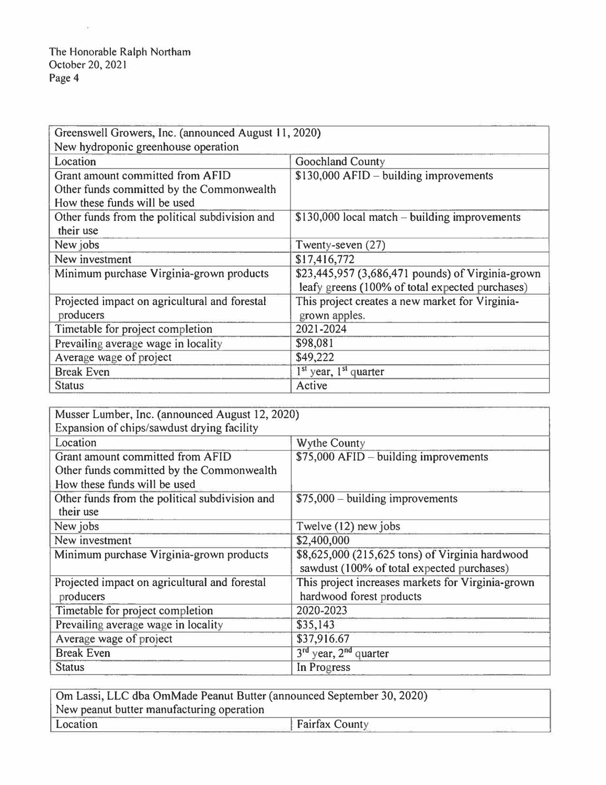$\sim$  100

| Greenswell Growers, Inc. (announced August 11, 2020)                                                          |                                                                                                      |
|---------------------------------------------------------------------------------------------------------------|------------------------------------------------------------------------------------------------------|
| New hydroponic greenhouse operation                                                                           |                                                                                                      |
| Location                                                                                                      | Goochland County                                                                                     |
| Grant amount committed from AFID<br>Other funds committed by the Commonwealth<br>How these funds will be used | $$130,000$ AFID – building improvements                                                              |
| Other funds from the political subdivision and<br>their use                                                   | $$130,000$ local match – building improvements                                                       |
| New jobs                                                                                                      | Twenty-seven (27)                                                                                    |
| New investment                                                                                                | \$17,416,772                                                                                         |
| Minimum purchase Virginia-grown products                                                                      | \$23,445,957 (3,686,471 pounds) of Virginia-grown<br>leafy greens (100% of total expected purchases) |
| Projected impact on agricultural and forestal<br>producers                                                    | This project creates a new market for Virginia-<br>grown apples.                                     |
| Timetable for project completion                                                                              | 2021-2024                                                                                            |
| Prevailing average wage in locality                                                                           | \$98,081                                                                                             |
| Average wage of project                                                                                       | \$49,222                                                                                             |
| <b>Break Even</b>                                                                                             | $1st$ year, $1st$ quarter                                                                            |
| <b>Status</b>                                                                                                 | Active                                                                                               |

| Musser Lumber, Inc. (announced August 12, 2020) |                                                   |
|-------------------------------------------------|---------------------------------------------------|
| Expansion of chips/sawdust drying facility      |                                                   |
| Location                                        | <b>Wythe County</b>                               |
| Grant amount committed from AFID                | $$75,000$ AFID – building improvements            |
| Other funds committed by the Commonwealth       |                                                   |
| How these funds will be used                    |                                                   |
| Other funds from the political subdivision and  | $$75,000 - building$ improvements                 |
| their use                                       |                                                   |
| New jobs                                        | Twelve (12) new jobs                              |
| New investment                                  | \$2,400,000                                       |
| Minimum purchase Virginia-grown products        | \$8,625,000 (215,625 tons) of Virginia hardwood   |
|                                                 | sawdust (100% of total expected purchases)        |
| Projected impact on agricultural and forestal   | This project increases markets for Virginia-grown |
| producers                                       | hardwood forest products                          |
| Timetable for project completion                | 2020-2023                                         |
| Prevailing average wage in locality             | \$35,143                                          |
| Average wage of project                         | \$37,916.67                                       |
| <b>Break Even</b>                               | $3rd$ year, $2nd$ quarter                         |
| <b>Status</b>                                   | In Progress                                       |

| Om Lassi, LLC dba OmMade Peanut Butter (announced September 30, 2020) |  |
|-----------------------------------------------------------------------|--|
| New peanut butter manufacturing operation                             |  |
| Location<br>Fairfax County                                            |  |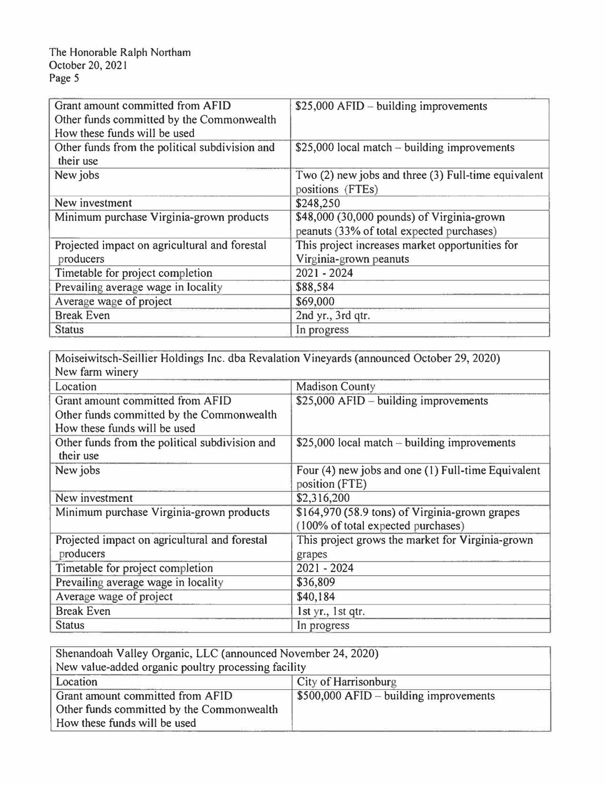| Grant amount committed from AFID<br>Other funds committed by the Commonwealth<br>How these funds will be used | $$25,000$ AFID – building improvements                                                  |
|---------------------------------------------------------------------------------------------------------------|-----------------------------------------------------------------------------------------|
| Other funds from the political subdivision and<br>their use                                                   | $$25,000$ local match – building improvements                                           |
| New jobs                                                                                                      | Two (2) new jobs and three (3) Full-time equivalent<br>positions (FTEs)                 |
| New investment                                                                                                | \$248,250                                                                               |
| Minimum purchase Virginia-grown products                                                                      | \$48,000 (30,000 pounds) of Virginia-grown<br>peanuts (33% of total expected purchases) |
| Projected impact on agricultural and forestal<br>producers                                                    | This project increases market opportunities for<br>Virginia-grown peanuts               |
| Timetable for project completion                                                                              | 2021 - 2024                                                                             |
| Prevailing average wage in locality                                                                           | \$88,584                                                                                |
| Average wage of project                                                                                       | \$69,000                                                                                |
| <b>Break Even</b>                                                                                             | 2nd yr., 3rd qtr.                                                                       |
| <b>Status</b>                                                                                                 | In progress                                                                             |

| Moiseiwitsch-Seillier Holdings Inc. dba Revalation Vineyards (announced October 29, 2020) |                                                                                      |  |
|-------------------------------------------------------------------------------------------|--------------------------------------------------------------------------------------|--|
| New farm winery                                                                           |                                                                                      |  |
| Location                                                                                  | <b>Madison County</b>                                                                |  |
| Grant amount committed from AFID                                                          | $$25,000$ AFID – building improvements                                               |  |
| Other funds committed by the Commonwealth                                                 |                                                                                      |  |
| How these funds will be used                                                              |                                                                                      |  |
| Other funds from the political subdivision and<br>their use                               | $$25,000$ local match – building improvements                                        |  |
| New jobs                                                                                  | Four (4) new jobs and one (1) Full-time Equivalent<br>position (FTE)                 |  |
| New investment                                                                            | \$2,316,200                                                                          |  |
| Minimum purchase Virginia-grown products                                                  | \$164,970 (58.9 tons) of Virginia-grown grapes<br>(100% of total expected purchases) |  |
| Projected impact on agricultural and forestal<br>producers                                | This project grows the market for Virginia-grown<br>grapes                           |  |
| Timetable for project completion                                                          | 2021 - 2024                                                                          |  |
| Prevailing average wage in locality                                                       | \$36,809                                                                             |  |
| Average wage of project                                                                   | \$40,184                                                                             |  |
| <b>Break Even</b>                                                                         | 1st yr., 1st qtr.                                                                    |  |
| <b>Status</b>                                                                             | In progress                                                                          |  |

| Shenandoah Valley Organic, LLC (announced November 24, 2020) |                                         |
|--------------------------------------------------------------|-----------------------------------------|
| New value-added organic poultry processing facility          |                                         |
| Location                                                     | City of Harrisonburg                    |
| Grant amount committed from AFID                             | $$500,000$ AFID – building improvements |
| Other funds committed by the Commonwealth                    |                                         |
| How these funds will be used                                 |                                         |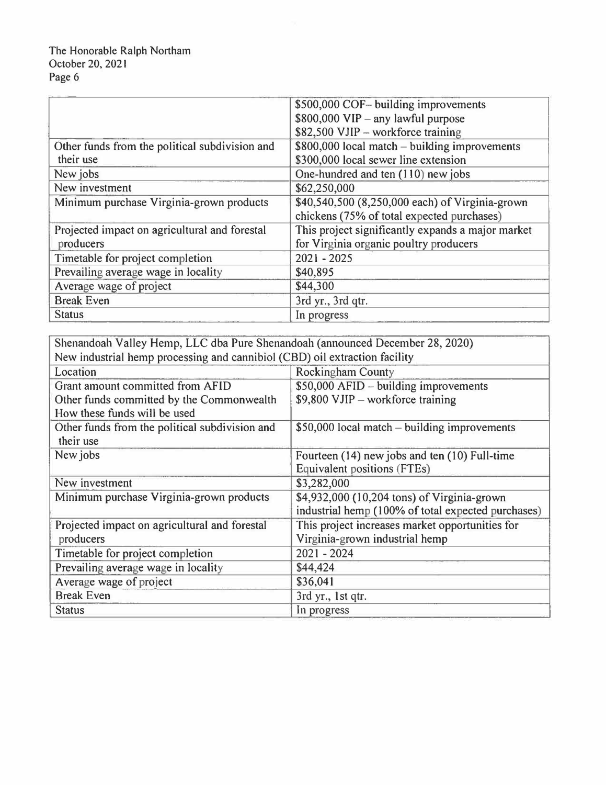|                                                | \$500,000 COF- building improvements              |
|------------------------------------------------|---------------------------------------------------|
|                                                | $$800,000$ VIP - any lawful purpose               |
|                                                | \$82,500 VJIP - workforce training                |
| Other funds from the political subdivision and | \$800,000 local match – building improvements     |
| their use                                      | \$300,000 local sewer line extension              |
| New jobs                                       | One-hundred and ten (110) new jobs                |
| New investment                                 | \$62,250,000                                      |
| Minimum purchase Virginia-grown products       | \$40,540,500 (8,250,000 each) of Virginia-grown   |
|                                                | chickens (75% of total expected purchases)        |
| Projected impact on agricultural and forestal  | This project significantly expands a major market |
| producers                                      | for Virginia organic poultry producers            |
| Timetable for project completion               | $2021 - 2025$                                     |
| Prevailing average wage in locality            | \$40,895                                          |
| Average wage of project                        | \$44,300                                          |
| <b>Break Even</b>                              | 3rd yr., 3rd qtr.                                 |
| <b>Status</b>                                  | In progress                                       |

| Shenandoah Valley Hemp, LLC dba Pure Shenandoah (announced December 28, 2020) |                                                    |
|-------------------------------------------------------------------------------|----------------------------------------------------|
| New industrial hemp processing and cannibiol (CBD) oil extraction facility    |                                                    |
| Location                                                                      | <b>Rockingham County</b>                           |
| Grant amount committed from AFID                                              | \$50,000 AFID - building improvements              |
| Other funds committed by the Commonwealth                                     | $$9,800$ VJIP – workforce training                 |
| How these funds will be used                                                  |                                                    |
| Other funds from the political subdivision and                                | $$50,000$ local match – building improvements      |
| their use                                                                     |                                                    |
| New jobs                                                                      | Fourteen (14) new jobs and ten (10) Full-time      |
|                                                                               | Equivalent positions (FTEs)                        |
| New investment                                                                | \$3,282,000                                        |
| Minimum purchase Virginia-grown products                                      | \$4,932,000 (10,204 tons) of Virginia-grown        |
|                                                                               | industrial hemp (100% of total expected purchases) |
| Projected impact on agricultural and forestal                                 | This project increases market opportunities for    |
| producers                                                                     | Virginia-grown industrial hemp                     |
| Timetable for project completion                                              | $2021 - 2024$                                      |
| Prevailing average wage in locality                                           | \$44,424                                           |
| Average wage of project                                                       | \$36,041                                           |
| <b>Break Even</b>                                                             | 3rd yr., 1st qtr.                                  |
| <b>Status</b>                                                                 | In progress                                        |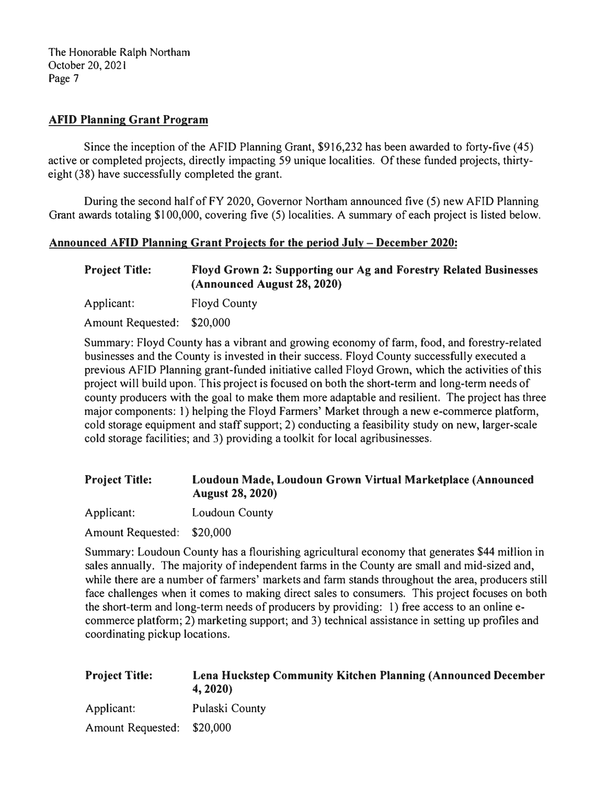#### **AFID Planning Grant Program**

Since the inception of the AFID Planning Grant, \$916,232 has been awarded to forty-five (45) active or completed projects, directly impacting 59 unique localities. Of these funded projects, thirtyeight (38) have successfully completed the grant.

During the second half of FY 2020, Governor Northam announced five (5) new AFID Planning Grant awards totaling \$100,000, covering five (5) localities. A summary of each project is listed below.

#### **Announced AFID Planning Grant Projects for the period July - December 2020:**

**Project Title: Floyd Grown 2: Supporting our Ag and Forestry Related Businesses (Announced August 28, 2020)** 

Applicant: Floyd County

Amount Requested: \$20,000

Summary: Floyd County has a vibrant and growing economy of farm, food, and forestry-related businesses and the County is invested in their success. Floyd County successfully executed a previous AFID Planning grant-funded initiative called Floyd Grown, which the activities of this project will build upon. This project is focused on both the short-term and long-term needs of county producers with the goal to make them more adaptable and resilient. The project has three major components: 1) helping the Floyd Farmers' Market through a new e-commerce platform, cold storage equipment and staff support; 2) conducting a feasibility study on new, larger-scale cold storage facilities; and 3) providing a toolkit for local agribusinesses.

# **Project Title: Loudoun Made, Loudoun Grown Virtual Marketplace (Announced August 28, 2020)**

Applicant: Loudoun County

Amount Requested: \$20,000

Summary: Loudoun County has a flourishing agricultural economy that generates \$44 million in sales annually. The majority of independent farms in the County are small and mid-sized and, while there are a number of farmers' markets and farm stands throughout the area, producers still face challenges when it comes to making direct sales to consumers. This project focuses on both the short-term and long-term needs of producers by providing: 1) free access to an online ecommerce platform; 2) marketing support; and 3) technical assistance in setting up profiles and coordinating pickup locations.

| <b>Project Title:</b>      | Lena Huckstep Community Kitchen Planning (Announced December<br>4, 2020 |
|----------------------------|-------------------------------------------------------------------------|
| Applicant:                 | Pulaski County                                                          |
| Amount Requested: \$20,000 |                                                                         |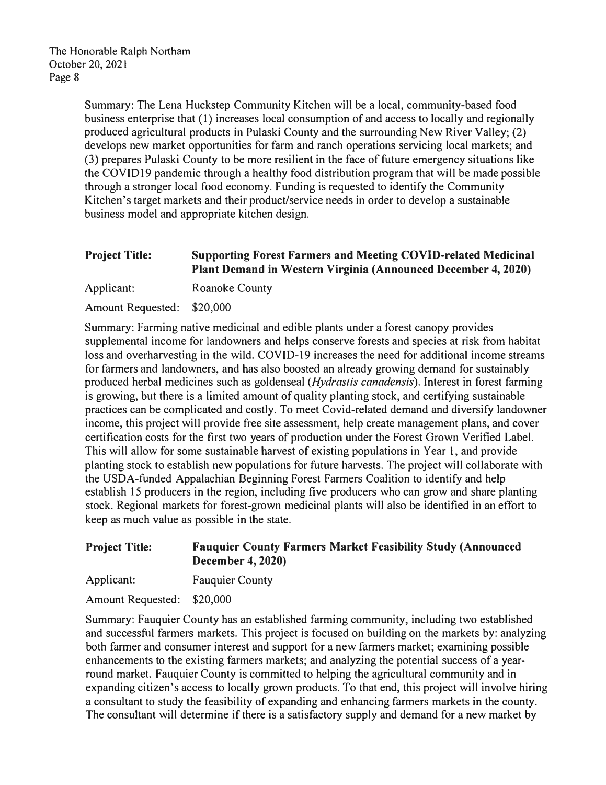Summary: The Lena Huckstep Community Kitchen will be a local, community-based food business enterprise that ( 1) increases local consumption of and access to locally and regionally produced agricultural products in Pulaski County and the surrounding New River Valley; (2) develops new market opportunities for farm and ranch operations servicing local markets; and (3) prepares Pulaski County to be more resilient in the face of future emergency situations like the COVID 19 pandemic through a healthy food distribution program that will be made possible through a stronger local food economy. Funding is requested to identify the Community Kitchen's target markets and their product/service needs in order to develop a sustainable business model and appropriate kitchen design.

# **Project Title: Supporting Forest Farmers and Meeting COVID·related Medicinal Plant Demand in Western Virginia (Announced December 4, 2020)**

Applicant: Roanoke County

Amount Requested: \$20,000

Summary: Farming native medicinal and edible plants under a forest canopy provides supplemental income for landowners and helps conserve forests and species at risk from habitat loss and overharvesting in the wild. COVID-19 increases the need for additional income streams for farmers and landowners, and has also boosted an already growing demand for sustainably produced herbal medicines such as goldenseal *(Hydrastis canadensis).* Interest in forest farming is growing, but there is a limited amount of quality planting stock, and certifying sustainable practices can be complicated and costly. To meet Covid-related demand and diversify landowner income, this project will provide free site assessment, help create management plans, and cover certification costs for the first two years of production under the Forest Grown Verified Label. This will allow for some sustainable harvest of existing populations in Year 1, and provide planting stock to establish new populations for future harvests. The project will collaborate with the USDA-funded Appalachian Beginning Forest Farmers Coalition to identify and help establish 15 producers in the region, including five producers who can grow and share planting stock. Regional markets for forest-grown medicinal plants will also be identified in an effort to keep as much value as possible in the state.

## **Project Title: Fauquier County Farmers Market Feasibility Study (Announced December 4, 2020)**

Applicant: Fauquier County

Amount Requested: \$20,000

Summary: Fauquier County has an established farming community, including two established and successful farmers markets. This project is focused on building on the markets by: analyzing both farmer and consumer interest and support for a new farmers market; examining possible enhancements to the existing farmers markets; and analyzing the potential success of a yearround market. Fauquier County is committed to helping the agricultural community and in expanding citizen's access to locally grown products. To that end, this project will involve hiring a consultant to study the feasibility of expanding and enhancing farmers markets in the county. The consultant will determine if there is a satisfactory supply and demand for a new market by